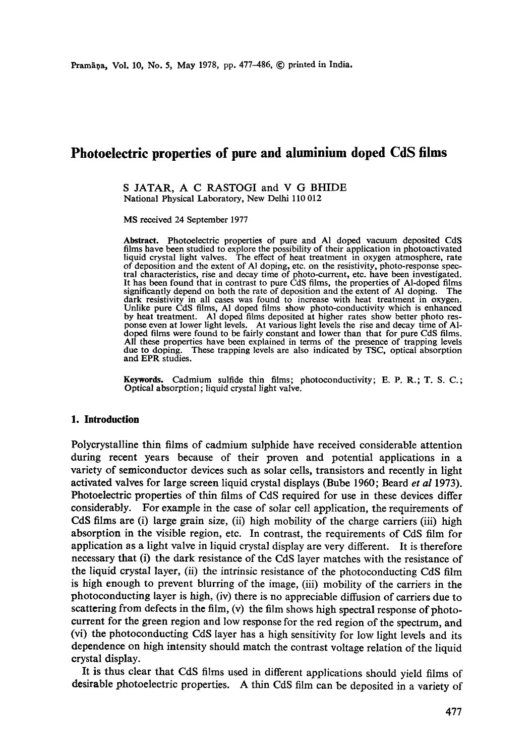# **Photoelectric properties of pure and aluminium doped CdS films**

#### S JATAR, A C RASTOGI and V G BHIDE National Physical Laboratory, New Delhi 110 012

MS received 24 September 1977

**Abstract.** Photoelectric properties of pure and AI doped vacuum deposited CdS films have been studied to explore the possibility of their application in photoactivated<br>liquid crystal light valves. The effect of heat treatment in oxygen atmosphere, rate<br>of deposition and the extent of Al doping, etc. tral characteristics, rise and decay time of photo-current, etc. have been investigated. It has been found that in contrast to pure CdS films, the properties of Al-doped films significantly depend on both the rate of deposition and the extent of AI doping. The dark resistivity in all cases was found to increase with heat treatment in oxygen. Unlike pure CdS films, AI doped films show photo-conductivity which is enhanced by heat treatment. AI doped films deposited at higher rates show better photo response even at lower light levels. At various light levels the rise and decay time of A1 doped films were found to be fairly constant and lower than that for pure CdS films. All these properties have been explained in terms of the presence of trapping levels due to doping. These trapping levels are also indicated by TSC, optical absorption and EPR studies.

**Keywords.** Cadmium sulfide thin films; photoconductivity; E. P. R.; T. S. C.; Optical absorption; liquid crystal light valve.

#### **1. Introduction**

Polycrystalline thin films of cadmium sulphide have received considerable attention during recent years because of their proven and potential applications in a variety of semiconductor devices such as solar cells, transistors and recently in light activated valves for large screen liquid crystal displays (Bube 1960; Beard *et al* 1973). Photoelectric properties of thin films of CdS required for use in these devices differ considerably. For example in the case of solar cell application, the requirements of CdS films are (i) large grain size, (ii) high mobility of the charge carriers (iii) high absorption in the visible region, etc. In contrast, the requirements of CdS film for application as a light valve in liquid crystal display are very different. It is therefore necessary that (i) the dark resistance of the CdS layer matches with the resistance of the liquid crystal layer, (ii) the intrinsic resistance of the photoconducting CdS film is high enough to prevent blurring of the image, (iii) mobility of the carriers in the photoconducting layer is high, (iv) there is no appreciable diffusion of carriers due to scattering from defects in the film, (v) the film shows high spectral response of photocurrent for the green region and low response for the red region of the spectrum, and (vi) the photoconducting CdS layer has a high sensitivity for low light levels and its dependence on high intensity should match the contrast voltage relation of the liquid crystal display.

It is thus clear that CdS films used in different applications should yield films of desirable photoelectric properties. A thin CdS film can be deposited in a variety of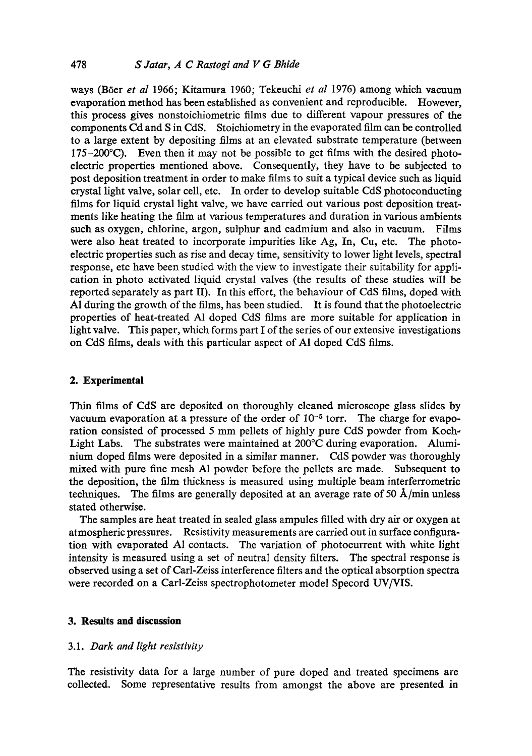ways (B6er *et al* 1966; Kitamura 1960; Tekeuchi *et al* 1976) among which vacuum evaporation method has been established as convenient and reproducible. However, this process gives nonstoichiometric films due to different vapour pressures of the components Cd and S in CdS. Stoichiometry in the evaporated film can be controlled to a large extent by depositing films at an elevated substrate temperature (between  $175-200^{\circ}$ C). Even then it may not be possible to get films with the desired photoelectric properties mentioned above. Consequently, they have to be subjected to post deposition treatment in order to make films to suit a typical device such as liquid crystal light valve, solar cell, etc. In order to develop suitable CdS photoconducting films for liquid crystal light valve, we have carried out various post deposition treatments like heating the film at various temperatures and duration in various ambients such as oxygen, chlorine, argon, sulphur and cadmium and also in vacuum. Films were also heat treated to incorporate impurities like Ag, In, Cu, etc. The photoelectric properties such as rise and decay time, sensitivity to lower light levels, spectral response, etc have been studied with the view to investigate their suitability for application in photo activated liquid crystal valves (the results of these studies will be reported separately as part II). In this effort, the behaviour of CdS films, doped with A1 during the growth of the films, has been studied. It is found that the photoelectric properties of heat-treated A1 doped CdS films are more suitable for application in light valve. This paper, which forms part I of the series of our extensive investigations on CdS films, deals with this particular aspect of A1 doped CdS films.

## **2. Experimental**

Thin films of CdS are deposited on thoroughly cleaned microscope glass slides by vacuum evaporation at a pressure of the order of  $10^{-5}$  torr. The charge for evaporation consisted of processed 5 mm pellets of highly pure CdS powder from Koch-Light Labs. The substrates were maintained at 200°C during evaporation. Aluminium doped films were deposited in a similar manner. CdS powder was thoroughly mixed with pure fine mesh A1 powder before the pellets are made. Subsequent to the deposition, the film thickness is measured using multiple beam interferrometric techniques. The films are generally deposited at an average rate of 50  $\AA$ /min unless stated otherwise.

The samples are heat treated in sealed glass ampules filled with dry air or oxygen at atmospheric pressures. Resistivity measurements are carried out in surface configuration with evaporated A1 contacts. The variation of photocurrent with white light intensity is measured using a set of neutral density filters. The spectral response is observed using a set of Carl-Zeiss interference filters and the optical absorption spectra were recorded on a Carl-Zeiss spectrophotometer model Specord UV/VIS.

## **3. Results and discussion**

## 3.1. *Dark and light resistivity*

The resistivity data for a large number of pure doped and treated specimens are collected. Some representative results from amongst the above are presented in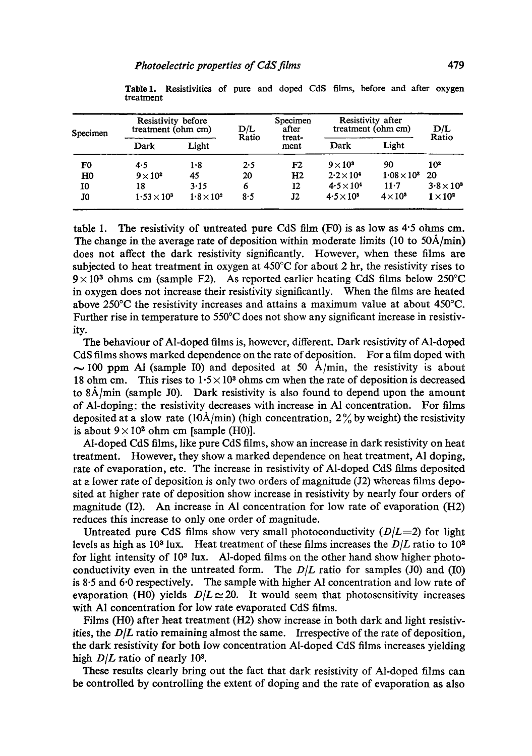| Specimen       | Resistivity before<br>treatment (ohm cm) |                 | D/L   | Specimen<br>after | Resistivity after<br>treatment (ohm cm) |                      | D/L             |
|----------------|------------------------------------------|-----------------|-------|-------------------|-----------------------------------------|----------------------|-----------------|
|                | Dark                                     | Light           | Ratio | treat-<br>ment    | Dark                                    | Light                | Ratio           |
| F0             | 4.5                                      | 1.8             | 2.5   | F2                | $9 \times 10^3$                         | 90                   | 10 <sup>2</sup> |
| H <sub>0</sub> | $9 \times 10^2$                          | 45              | 20    | H <sub>2</sub>    | $2.2 \times 10^4$                       | $1.08 \times 10^{3}$ | 20              |
| 10             | 18                                       | 3.15            | 6     | 12                | $4.5 \times 10^{4}$                     | $11 - 7$             | $3.8\times10^3$ |
| J0             | $1.53 \times 10^{5}$                     | $1.8\times10^2$ | 8.5   | J2                | $4.5 \times 10^{5}$                     | $4 \times 10^5$      | $1 \times 10^2$ |

**Table1.** Resistivities of pure and doped CdS films, before and after oxygen treatment

table 1. The resistivity of untreated pure CdS film  $(F0)$  is as low as 4.5 ohms cm. The change in the average rate of deposition within moderate limits (10 to  $50\text{\AA/min}$ ) does not affect the dark resistivity significantly. However, when these films are subjected to heat treatment in oxygen at  $450^{\circ}$ C for about 2 hr, the resistivity rises to  $9 \times 10<sup>3</sup>$  ohms cm (sample F2). As reported earlier heating CdS films below 250°C in oxygen does not increase their resistivity significantly. When the films are heated above 250°C the resistivity increases and attains a maximum value at about 450°C. Further rise in temperature to 550°C does not show any significant increase in resistivity.

The behaviour of Al-doped films is, however, different. Dark resistivity of Al-doped CdS films shows marked dependence on the rate of deposition. For a film doped with  $\sim$  100 ppm A1 (sample I0) and deposited at 50 A/min, the resistivity is about 18 ohm cm. This rises to  $1.5 \times 10^8$  ohms cm when the rate of deposition is decreased to  $8\text{\AA}/\text{min}$  (sample J0). Dark resistivity is also found to depend upon the amount of Al-doping; the resistivity decreases with increase in A1 concentration. For films deposited at a slow rate (10 $\dot{A}/\text{min}$ ) (high concentration, 2% by weight) the resistivity is about  $9 \times 10^2$  ohm cm [sample (H0)].

Al-doped CdS films, like pure CdS films, show an increase in dark resistivity on heat treatment. However, they show a marked dependence on heat treatment, A1 doping, rate of evaporation, etc. The increase in resistivity of Al-doped CdS films deposited at a lower rate of deposition is only two orders of magnitude (J2) whereas films deposited at higher rate of deposition show increase in resistivity by nearly four orders of magnitude (I2). An increase in AI concentration for low rate of evaporation (H2) reduces this increase to only one order of magnitude.

Untreated pure CdS films show very small photoconductivity *(D/L=2)* for light levels as high as  $10<sup>3</sup>$  lux. Heat treatment of these films increases the  $D/L$  ratio to  $10<sup>2</sup>$ for light intensity of  $10<sup>3</sup>$  lux. Al-doped films on the other hand show higher photoconductivity even in the untreated form. The *D/L* ratio for samples (J0) and (I0) is 8.5 and 6.0 respectively. The sample with higher A1 concentration and low rate of evaporation (H0) yields  $D/L \approx 20$ . It would seem that photosensitivity increases with A1 concentration for low rate evaporated CdS films.

Films (H0) after heat treatment (H2) show increase in both dark and light resistivities, the  $D/L$  ratio remaining almost the same. Irrespective of the rate of deposition, the dark resistivity for both low concentration Al-doped CdS films increases yielding high  $D/L$  ratio of nearly 10<sup>3</sup>.

These results clearly bring out the fact that dark resistivity of Al-doped films can be controlled by controlling the extent of doping and the rate of evaporation as also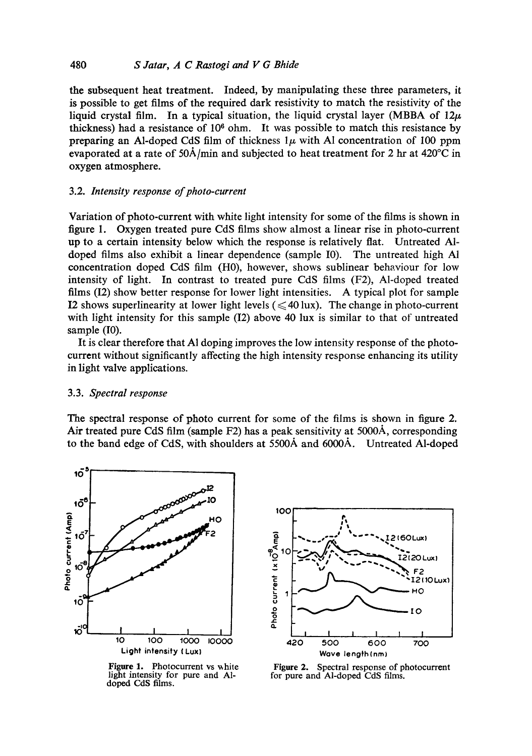the subsequent heat treatment. Indeed, by manipulating these three parameters, it is possible to get films of the required dark resistivity to match the resistivity of the liquid crystal film. In a typical situation, the liquid crystal layer (MBBA of  $12\mu$ thickness) had a resistance of  $10<sup>6</sup>$  ohm. It was possible to match this resistance by preparing an Al-doped CdS film of thickness  $1\mu$  with Al concentration of 100 ppm evaporated at a rate of  $50\text{\AA}/\text{min}$  and subjected to heat treatment for 2 hr at  $420^{\circ}\text{C}$  in oxygen atmosphere.

## 3.2. *Intensity response of photo-current*

Variation of photo-current with white light intensity for some of the films is shown in figure 1. Oxygen treated pure CdS films show almost a linear rise in photo-current up to a certain intensity below which the response is relatively fiat. Untreated AIdoped films also exhibit a linear dependence (sample I0). The untreated high AI concentration doped CdS film (H0), however, shows sublinear behaviour for low intensity of light. In contrast to treated pure CdS films (F2), Al-doped treated films (12) show better response for lower light intensities. A typical plot for sample I2 shows superlinearity at lower light levels  $(\leq 40 \text{ lux})$ . The change in photo-current with light intensity for this sample (I2) above 40 lux is similar to that of untreated sample (I0).

It is clear therefore that A1 doping improves the low intensity response of the photocurrent without significantly affecting the high intensity response enhancing its utility in light valve applications.

#### *3.3. Spectral response*

The spectral response of photo current for some of the films is shown in figure 2. Air treated pure CdS film (sample F2) has a peak sensitivity at 5000A, corresponding to the band edge of CdS, with shoulders at 5500Å and 6000Å. Untreated Al-doped



Figure 1. Photocurrent vs white light intensity for pure and A1 doped CdS films.



Figure 2. Spectral response of photocurrent for pure and Al-doped CdS films.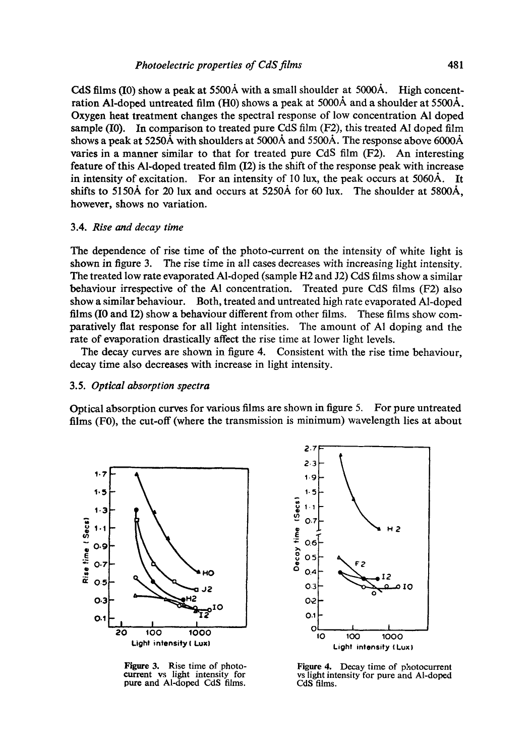CdS films  $(I0)$  show a peak at 5500Å with a small shoulder at 5000Å. High concentration Al-doped untreated film (H0) shows a peak at 5000Å and a shoulder at 5500Å. Oxygen heat treatment changes the spectral response of low concentration AI doped sample (I0). In comparison to treated pure CdS film *(F2),* this treated AI doped film shows a peak at 5250A with shoulders at 5000A and 5500A. The response above 6000A varies in a manner similar to that for treated pure CdS film (F2). An interesting feature of this Al-doped treated film (12) is the shift of the response peak with increase in intensity of excitation. For an intensity of 10 lux, the peak occurs at 5060A. It shifts to 5150Å for 20 lux and occurs at 5250Å for 60 lux. The shoulder at 5800Å, however, shows no variation.

#### 3.4. *Rise and decay time*

The dependence of rise time of the photo-current on the intensity of white light is shown in figure 3. The rise time in all cases decreases with increasing light intensity. The treated low rate evaporated Al-doped (sample H2 and J2) CdS films show a similar behaviour irrespective of the A1 concentration. Treated pure CdS films (F2) also show a similar behaviour. Both, treated and untreated high rate evaporated Al-doped films (I0 and 12) show a behaviour different from other films. These films show comparatively fiat response for all light intensities. The amount of A1 doping and the rate of evaporation drastically affect the rise time at lower light levels.

The decay curves are shown in figure 4. Consistent with the rise time behaviour, decay time also decreases with increase in light intensity.

#### 3.5. *Optical absorption spectra*

Optical absorption curves for various films are shown in figure 5. For pure untreated films (F0), the cut-off (where the transmission is minimum) wavelength lies at about



Figure 3. Rise time of photocurrent vs light intensity for pure and Al-doped CdS films.



Figure 4. Decay time of photocurrent vs light intensity for pure and Al-doped CdS films.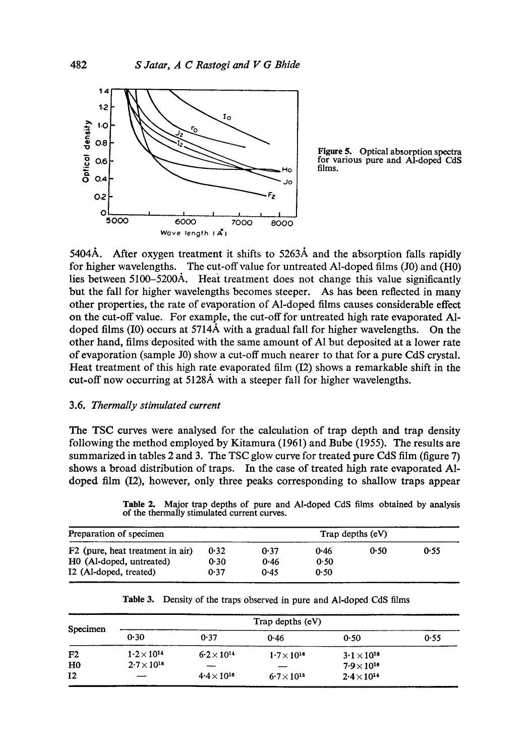

Figure 5. Optical absorption spectra for various pure and Al-doped CdS films.

5404A. After oxygen treatment it shifts to 5263A and the absorption falls rapidly for higher wavelengths. The cut-off value for untreated Al-doped films (J0) and (H0) lies between 5100-5200A. Heat treatment does not change this value significantly but the fall for higher wavelengths becomes steeper. As has been reflected in many other properties, the rate of evaporation of Al-doped films causes considerable effect on the cut-off value. For example, the cut-off for untreated high rate evaporated AIdoped films (I0) occurs at 5714A with a gradual fall for higher wavelengths. On the other hand, films deposited with the same amount of AI but deposited at a lower rate of evaporation (sample J0) show a cut-off much nearer to that for a pure CdS crystal. Heat treatment of this high rate evaporated film  $(12)$  shows a remarkable shift in the cut-off now occurring at 5128A with a steeper fall for higher wavelengths.

## 3.6. *Thermally stimulated current*

The TSC curves were analysed for the calculation of trap depth and trap density following the method employed by Kitamura (196l) and Bube (1955). The results are summarized in tables 2 and 3. The TSC glow curve for treated pure CdS film (figure 7) shows a broad distribution of traps. In the case of treated high rate evaporated A1 doped film (L2), however, only three peaks corresponding to shallow traps appear

**Table** 2. Major trap depths of pure and Al-doped CdS films obtained by analysis of the thermally stimulated current curves.

| Preparation of specimen                      | Trap depths $(eV)$ |      |      |      |      |
|----------------------------------------------|--------------------|------|------|------|------|
| F <sub>2</sub> (pure, heat treatment in air) | 0.32               | 0.37 | 0.46 | 0.50 | 0.55 |
| HO (Al-doped, untreated)                     | 0.30               | 0.46 | 0.50 |      |      |
| I2 (Al-doped, treated)                       | 0.37               | 0.45 | 0.50 |      |      |

| Specimen       | Trap depths (eV)     |                      |                      |                      |      |  |  |
|----------------|----------------------|----------------------|----------------------|----------------------|------|--|--|
|                | 0.30                 | 0.37                 | 0.46                 | 0.50                 | 0.55 |  |  |
| F <sub>2</sub> | $1.2 \times 10^{14}$ | $6.2 \times 10^{14}$ | $1.7 \times 10^{16}$ | $3.1 \times 10^{16}$ |      |  |  |
| H <sub>0</sub> | $2.7 \times 10^{18}$ |                      |                      | $7.9 \times 10^{16}$ |      |  |  |
| 12             |                      | $4.4 \times 10^{16}$ | $6.7 \times 10^{15}$ | $2.4\times10^{14}$   |      |  |  |

**Table** 3. Density of the traps observed in pure and Al-doped CdS films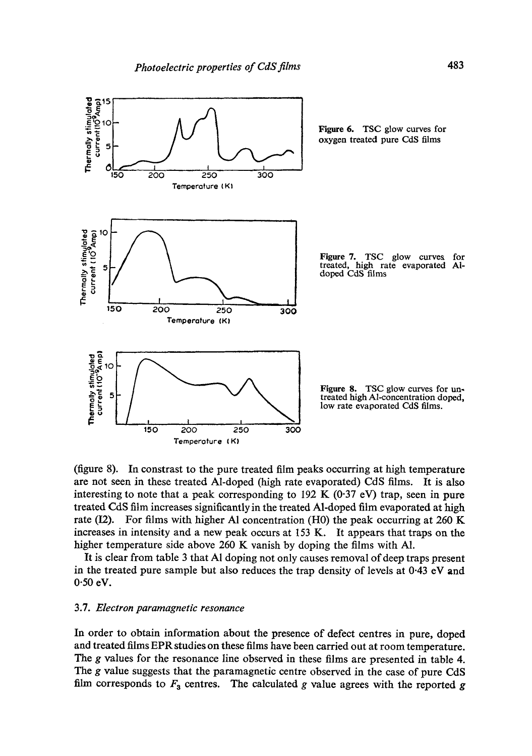

(figure 8). In constrast to the pure treated film peaks occurring at high temperature are not seen in these treated Al-doped (high rate evaporated) CdS films. It is also interesting to note that a peak corresponding to  $192 \text{ K}$  (0.37 eV) trap, seen in pure treated CdS film increases significantly in the treated Al-doped film evaporated at high rate (I2). For films with higher A1 concentration (H0) the peak occurring at 260 K increases in intensity and a new peak occurs at  $153$  K. It appears that traps on the higher temperature side above 260 K vanish by doping the films with A1.

It is clear from table 3 that AI doping not only causes removal of deep traps present in the treated pure sample but also reduces the trap density of levels at 0.43 eV and 0.50 eV.

## 3.7. *Electron paramagnetic resonance*

In order to obtain information about the presence of defect centres in pure, doped and treated films EPR studies on these films have been carried out at room temperature. The g values for the resonance line observed in these films are presented in table 4. The g value suggests that the paramagnetic centre observed in the case of pure CdS film corresponds to  $F_3$  centres. The calculated g value agrees with the reported g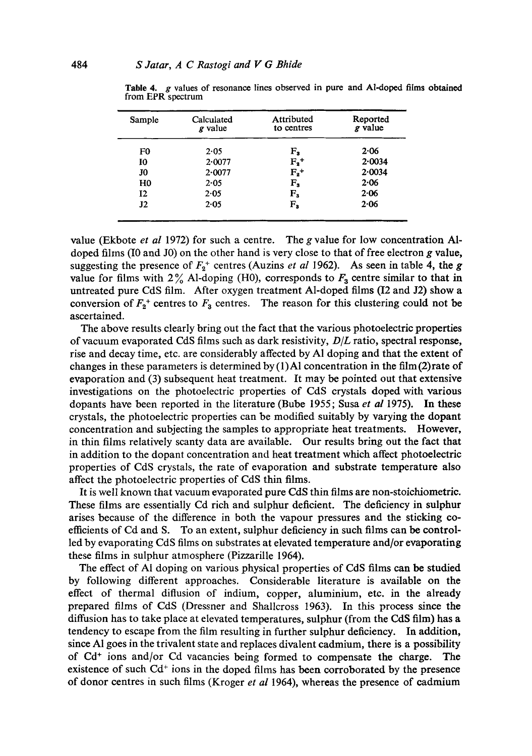| Calculated<br>$g$ value | Attributed<br>to centres | Reported<br>g value |
|-------------------------|--------------------------|---------------------|
| 2.05                    | ${\tt F_s}$              | $2 - 06$            |
| $2 - 0077$              | $F_2^+$                  | 2.0034              |
| 2.0077                  | $F_2$ <sup>+</sup>       | 2.0034              |
| 2.05                    | $F_{s}$                  | 2.06                |
| 2.05                    |                          | 2.06                |
| 2.05                    | $F_{s}$                  | 2.06                |
|                         |                          | $F_{3}$             |

**Table** 4. g values of resonance lines observed in pure and Al-doped films obtained from EPR spectrum

value (Ekbote *et al* 1972) for such a centre. The g value for low concentration AIdoped films (I0 and J0) on the other hand is very close to that of free electron  $g$  value, suggesting the presence of  $F_2^+$  centres (Auzins *et al* 1962). As seen in table 4, the g value for films with  $2\%$  Al-doping (H0), corresponds to  $F_3$  centre similar to that in untreated pure CdS film. After oxygen treatment Al-doped films (I2 and J2) show a conversion of  $F_2^+$  centres to  $F_3$  centres. The reason for this clustering could not be ascertained.

The above results clearly bring out the fact that the various photoelectric properties of vacuum evaporated CdS films such as dark resistivity, *D/L* ratio, spectral response, rise and decay time, etc. are considerably affected by A1 doping and that the extent of changes in these parameters is determined by  $(1)$  A1 concentration in the film (2) rate of evaporation and (3) subsequent heat treatment. It may be pointed out that extensive investigations on the photoelectric properties of CdS crystals doped with various dopants have been reported in the literature (Bube 1955; Susa *et al* 1975). In these crystals, the photoelectric properties can be modified suitably by varying the dopant concentration and subjecting the samples to appropriate heat treatments. However, in thin films relatively scanty data are available. Our results bring out the fact that in addition to the dopant concentration and heat treatment which affect photoelectric properties of CdS crystals, the rate of evaporation and substrate temperature also affect the photoelectric properties of CdS thin films.

It is well known that vacuum evaporated pure CdS thin films are non-stoiehiometrie. These films are essentially Cd rich and sulphur deficient. The deficiency in sulphur arises because of the difference in both the vapour pressures and the sticking coefficients of Cd and S. To an extent, sulphur deficiency in such films can be controlled by evaporating CdS films on substrates at elevated temperature and/or evaporating these films in sulphur atmosphere (Pizzarille 1964).

The effect of AI doping on various physical properties of CdS films can be studied by following different approaches. Considerable literature is available on the effect of thermal diffusion of indium, copper, aluminium, etc. in the already prepared films of CdS (Dressner and Shallcross 1963). In this process since the diffusion has to take place at elevated temperatures, sulphur (from the CdS film) has a tendency to escape from the film resulting in further sulphur deficiency. In addition, since A1 goes in the trivalent state and replaces divalent cadmium, there is a possibility of  $Cd<sup>+</sup>$  ions and/or  $Cd$  vacancies being formed to compensate the charge. The existence of such  $Cd^+$  ions in the doped films has been corroborated by the presence of donor centres in such films (Kroger *et al* 1964), whereas the presence of cadmium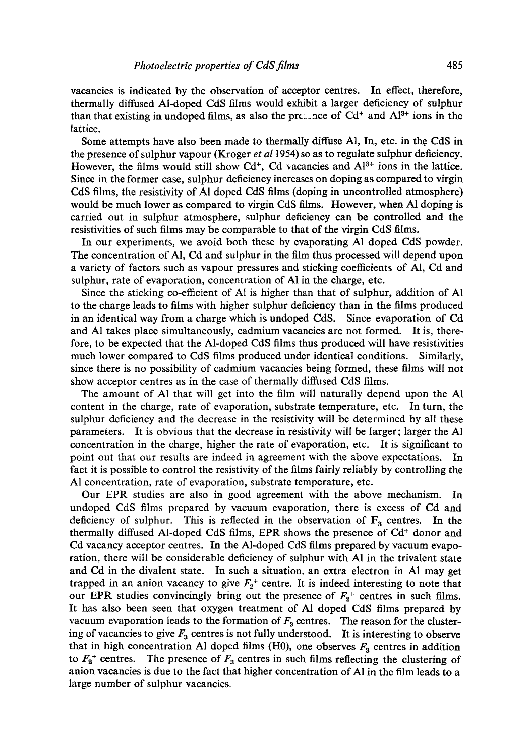vacancies is indicated by the observation of acceptor centres. In effect, therefore, thermally diffused Al-doped CdS films would exhibit a larger deficiency of sulphur than that existing in undoped films, as also the precence of  $Cd^+$  and  $Al^{3+}$  ions in the lattice.

Some attempts have also been made to thermally diffuse Al, In, etc. in the CdS in the presence of sulphur vapour (Kroger *et a11954)* so as to regulate sulphur deficiency. However, the films would still show  $Cd^+$ , Cd vacancies and  $Al^{3+}$  ions in the lattice. Since in the former case, sulphur deficiency increases on doping as compared to virgin CdS films, the resistivity of A1 doped CdS films (doping in uncontrolled atmosphere) would be much lower as compared to virgin CdS films. However, when A1 doping is carried out in sulphur atmosphere, sulphur deficiency can be controlled and the resistivities of such films may be comparable to that of the virgin CdS films.

In our experiments, we avoid both these by evaporating A1 doped CdS powder. The concentration of A1, Cd and sulphur in the film thus processed will depend upon a variety of factors such as vapour pressures and sticking coefficients of AI, Cd and sulphur, rate of evaporation, concentration of A1 in the charge, etc.

Since the sticking co-efficient of A1 is higher than that of sulphur, addition of A1 to the charge leads to films with higher sulphur deficiency than in the films produced in an identical way from a charge which is undoped CdS. Since evaporation of Cd and A1 takes place simultaneously, cadmium vacancies are not formed. It is, therefore, to be expected that the Al-doped CdS films thus produced will have resistivities much lower compared to CdS films produced under identical conditions. Similarly, since there is no possibility of cadmium vacancies being formed, these films will not show acceptor centres as in the case of thermally diffused CdS films.

The amount of A1 that will get into the film will naturally depend upon the A1 content in the charge, rate of evaporation, substrate temperature, etc. In turn, the sulphur deficiency and the decrease in the resistivity will be determined by all these parameters. It is obvious that the decrease in resistivity will be larger; larger the A1 concentration in the charge, higher the rate of evaporation, etc. It is significant to point out that our results are indeed in agreement with the above expectations. In fact it is possible to control the resistivity of the films fairly reliably by controlling the A1 concentration, rate of evaporation, substrate temperature, etc.

Our EPR studies are also in good agreement with the above mechanism. In undoped CdS films prepared by vacuum evaporation, there is excess of Cd and deficiency of sulphur. This is reflected in the observation of  $F_3$  centres. In the thermally diffused Al-doped CdS films, EPR shows the presence of  $Cd<sup>+</sup>$  donor and Cd vacancy acceptor centres. In the Al-doped CdS films prepared by vacuum evaporation, there will be considerable deficiency of sulphur with A1 in the trivalent state and Cd in the divalent state. In such a situation, an extra electron in A1 may get trapped in an anion vacancy to give  $F_2$ <sup>+</sup> centre. It is indeed interesting to note that our EPR studies convincingly bring out the presence of  $F_2^+$  centres in such films. It has also been seen that oxygen treatment of AI doped CdS films prepared by vacuum evaporation leads to the formation of  $F_a$  centres. The reason for the clustering of vacancies to give  $F_3$  centres is not fully understood. It is interesting to observe that in high concentration A1 doped films (H0), one observes  $F_3$  centres in addition to  $F_2^+$  centres. The presence of  $F_3$  centres in such films reflecting the clustering of anion vacancies is due to the fact that higher concentration of Al in the film leads to a large number of sulphur vacancies-